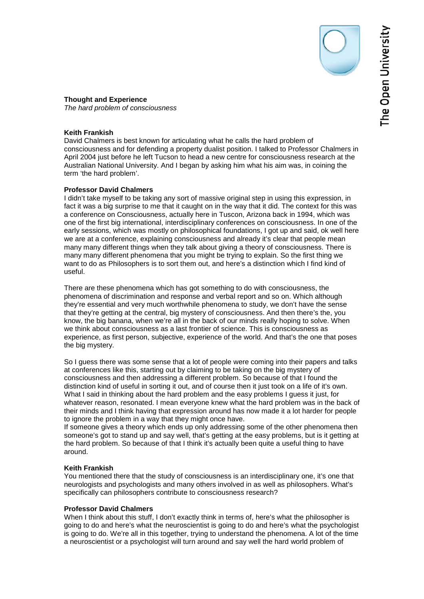

# **Keith Frankish**

David Chalmers is best known for articulating what he calls the hard problem of consciousness and for defending a property dualist position. I talked to Professor Chalmers in April 2004 just before he left Tucson to head a new centre for consciousness research at the Australian National University. And I began by asking him what his aim was, in coining the term 'the hard problem'.

# **Professor David Chalmers**

I didn't take myself to be taking any sort of massive original step in using this expression, in fact it was a big surprise to me that it caught on in the way that it did. The context for this was a conference on Consciousness, actually here in Tuscon, Arizona back in 1994, which was one of the first big international, interdisciplinary conferences on consciousness. In one of the early sessions, which was mostly on philosophical foundations, I got up and said, ok well here we are at a conference, explaining consciousness and already it's clear that people mean many many different things when they talk about giving a theory of consciousness. There is many many different phenomena that you might be trying to explain. So the first thing we want to do as Philosophers is to sort them out, and here's a distinction which I find kind of useful.

There are these phenomena which has got something to do with consciousness, the phenomena of discrimination and response and verbal report and so on. Which although they're essential and very much worthwhile phenomena to study, we don't have the sense that they're getting at the central, big mystery of consciousness. And then there's the, you know, the big banana, when we're all in the back of our minds really hoping to solve. When we think about consciousness as a last frontier of science. This is consciousness as experience, as first person, subjective, experience of the world. And that's the one that poses the big mystery.

So I guess there was some sense that a lot of people were coming into their papers and talks at conferences like this, starting out by claiming to be taking on the big mystery of consciousness and then addressing a different problem. So because of that I found the distinction kind of useful in sorting it out, and of course then it just took on a life of it's own. What I said in thinking about the hard problem and the easy problems I guess it just, for whatever reason, resonated. I mean everyone knew what the hard problem was in the back of their minds and I think having that expression around has now made it a lot harder for people to ignore the problem in a way that they might once have.

If someone gives a theory which ends up only addressing some of the other phenomena then someone's got to stand up and say well, that's getting at the easy problems, but is it getting at the hard problem. So because of that I think it's actually been quite a useful thing to have around.

# **Keith Frankish**

You mentioned there that the study of consciousness is an interdisciplinary one, it's one that neurologists and psychologists and many others involved in as well as philosophers. What's specifically can philosophers contribute to consciousness research?

# **Professor David Chalmers**

When I think about this stuff, I don't exactly think in terms of, here's what the philosopher is going to do and here's what the neuroscientist is going to do and here's what the psychologist is going to do. We're all in this together, trying to understand the phenomena. A lot of the time a neuroscientist or a psychologist will turn around and say well the hard world problem of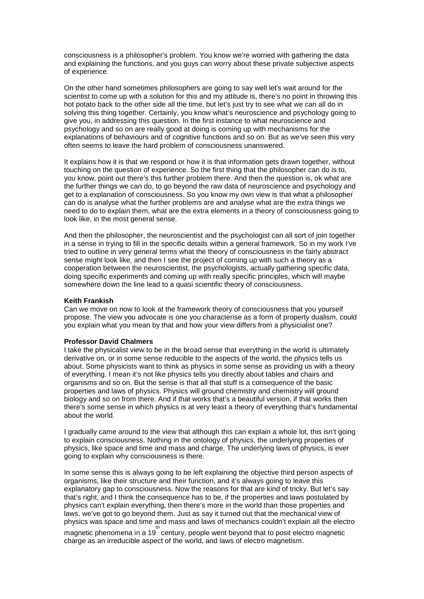consciousness is a philosopher's problem. You know we're worried with gathering the data and explaining the functions, and you guys can worry about these private subjective aspects of experience.

On the other hand sometimes philosophers are going to say well let's wait around for the scientist to come up with a solution for this and my attitude is, there's no point in throwing this hot potato back to the other side all the time, but let's just try to see what we can all do in solving this thing together. Certainly, you know what's neuroscience and psychology going to give you, in addressing this question. In the first instance to what neuroscience and psychology and so on are really good at doing is coming up with mechanisms for the explanations of behaviours and of cognitive functions and so on. But as we've seen this very often seems to leave the hard problem of consciousness unanswered.

It explains how it is that we respond or how it is that information gets drawn together, without touching on the question of experience. So the first thing that the philosopher can do is to, you know, point out there's this further problem there. And then the question is, ok what are the further things we can do, to go beyond the raw data of neuroscience and psychology and get to a explanation of consciousness. So you know my own view is that what a philosopher can do is analyse what the further problems are and analyse what are the extra things we need to do to explain them, what are the extra elements in a theory of consciousness going to look like, in the most general sense.

And then the philosopher, the neuroscientist and the psychologist can all sort of join together in a sense in trying to fill in the specific details within a general framework. So in my work I've tried to outline in very general terms what the theory of consciousness in the fairly abstract sense might look like, and then I see the project of coming up with such a theory as a cooperation between the neuroscientist, the psychologists, actually gathering specific data, doing specific experiments and coming up with really specific principles, which will maybe somewhere down the line lead to a quasi scientific theory of consciousness.

#### **Keith Frankish**

Can we move on now to look at the framework theory of consciousness that you yourself propose. The view you advocate is one you characterise as a form of property dualism, could you explain what you mean by that and how your view differs from a physicialist one?

#### **Professor David Chalmers**

I take the physicalist view to be in the broad sense that everything in the world is ultimately derivative on, or in some sense reducible to the aspects of the world, the physics tells us about. Some physicists want to think as physics in some sense as providing us with a theory of everything. I mean it's not like physics tells you directly about tables and chairs and organisms and so on. But the sense is that all that stuff is a consequence of the basic properties and laws of physics. Physics will ground chemistry and chemistry will ground biology and so on from there. And if that works that's a beautiful version, if that works then there's some sense in which physics is at very least a theory of everything that's fundamental about the world.

I gradually came around to the view that although this can explain a whole lot, this isn't going to explain consciousness. Nothing in the ontology of physics, the underlying properties of physics, like space and time and mass and charge. The underlying laws of physics, is ever going to explain why consciousness is there.

In some sense this is always going to be left explaining the objective third person aspects of organisms, like their structure and their function, and it's always going to leave this explanatory gap to consciousness. Now the reasons for that are kind of tricky. But let's say that's right, and I think the consequence has to be, if the properties and laws postulated by physics can't explain everything, then there's more in the world than those properties and laws, we've got to go beyond them. Just as say it turned out that the mechanical view of physics was space and time and mass and laws of mechanics couldn't explain all the electro  $\overline{\mathbf{r}}$  magnetic phenomena in a 19  $\overline{\mathbf{r}}$  century, people went beyond that to posit electro magnetic charge as an irreducible aspect of the world, and laws of electro magnetism.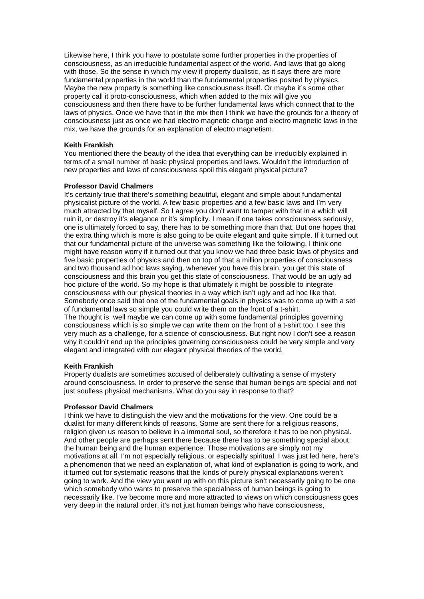Likewise here, I think you have to postulate some further properties in the properties of consciousness, as an irreducible fundamental aspect of the world. And laws that go along with those. So the sense in which my view if property dualistic, as it says there are more fundamental properties in the world than the fundamental properties posited by physics. Maybe the new property is something like consciousness itself. Or maybe it's some other property call it proto-consciousness, which when added to the mix will give you consciousness and then there have to be further fundamental laws which connect that to the laws of physics. Once we have that in the mix then I think we have the grounds for a theory of consciousness just as once we had electro magnetic charge and electro magnetic laws in the mix, we have the grounds for an explanation of electro magnetism.

## **Keith Frankish**

You mentioned there the beauty of the idea that everything can be irreducibly explained in terms of a small number of basic physical properties and laws. Wouldn't the introduction of new properties and laws of consciousness spoil this elegant physical picture?

## **Professor David Chalmers**

It's certainly true that there's something beautiful, elegant and simple about fundamental physicalist picture of the world. A few basic properties and a few basic laws and I'm very much attracted by that myself. So I agree you don't want to tamper with that in a which will ruin it, or destroy it's elegance or it's simplicity. I mean if one takes consciousness seriously, one is ultimately forced to say, there has to be something more than that. But one hopes that the extra thing which is more is also going to be quite elegant and quite simple. If it turned out that our fundamental picture of the universe was something like the following, I think one might have reason worry if it turned out that you know we had three basic laws of physics and five basic properties of physics and then on top of that a million properties of consciousness and two thousand ad hoc laws saying, whenever you have this brain, you get this state of consciousness and this brain you get this state of consciousness. That would be an ugly ad hoc picture of the world. So my hope is that ultimately it might be possible to integrate consciousness with our physical theories in a way which isn't ugly and ad hoc like that. Somebody once said that one of the fundamental goals in physics was to come up with a set of fundamental laws so simple you could write them on the front of a t-shirt. The thought is, well maybe we can come up with some fundamental principles governing consciousness which is so simple we can write them on the front of a t-shirt too. I see this very much as a challenge, for a science of consciousness. But right now I don't see a reason why it couldn't end up the principles governing consciousness could be very simple and very elegant and integrated with our elegant physical theories of the world.

## **Keith Frankish**

Property dualists are sometimes accused of deliberately cultivating a sense of mystery around consciousness. In order to preserve the sense that human beings are special and not just soulless physical mechanisms. What do you say in response to that?

## **Professor David Chalmers**

I think we have to distinguish the view and the motivations for the view. One could be a dualist for many different kinds of reasons. Some are sent there for a religious reasons, religion given us reason to believe in a immortal soul, so therefore it has to be non physical. And other people are perhaps sent there because there has to be something special about the human being and the human experience. Those motivations are simply not my motivations at all, I'm not especially religious, or especially spiritual. I was just led here, here's a phenomenon that we need an explanation of, what kind of explanation is going to work, and it turned out for systematic reasons that the kinds of purely physical explanations weren't going to work. And the view you went up with on this picture isn't necessarily going to be one which somebody who wants to preserve the specialness of human beings is going to necessarily like. I've become more and more attracted to views on which consciousness goes very deep in the natural order, it's not just human beings who have consciousness,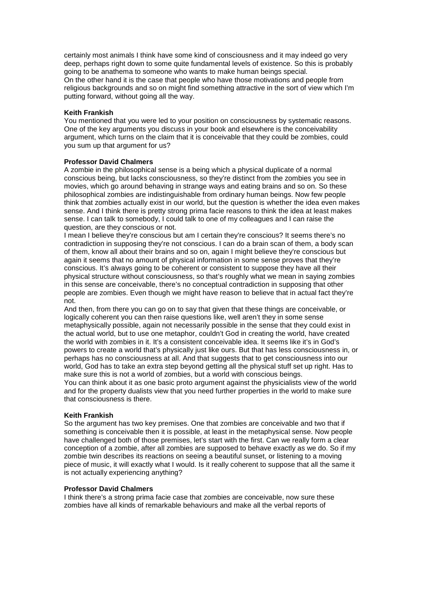certainly most animals I think have some kind of consciousness and it may indeed go very deep, perhaps right down to some quite fundamental levels of existence. So this is probably going to be anathema to someone who wants to make human beings special. On the other hand it is the case that people who have those motivations and people from religious backgrounds and so on might find something attractive in the sort of view which I'm putting forward, without going all the way.

## **Keith Frankish**

You mentioned that you were led to your position on consciousness by systematic reasons. One of the key arguments you discuss in your book and elsewhere is the conceivability argument, which turns on the claim that it is conceivable that they could be zombies, could you sum up that argument for us?

## **Professor David Chalmers**

A zombie in the philosophical sense is a being which a physical duplicate of a normal conscious being, but lacks consciousness, so they're distinct from the zombies you see in movies, which go around behaving in strange ways and eating brains and so on. So these philosophical zombies are indistinguishable from ordinary human beings. Now few people think that zombies actually exist in our world, but the question is whether the idea even makes sense. And I think there is pretty strong prima facie reasons to think the idea at least makes sense. I can talk to somebody, I could talk to one of my colleagues and I can raise the question, are they conscious or not.

I mean I believe they're conscious but am I certain they're conscious? It seems there's no contradiction in supposing they're not conscious. I can do a brain scan of them, a body scan of them, know all about their brains and so on, again I might believe they're conscious but again it seems that no amount of physical information in some sense proves that they're conscious. It's always going to be coherent or consistent to suppose they have all their physical structure without consciousness, so that's roughly what we mean in saying zombies in this sense are conceivable, there's no conceptual contradiction in supposing that other people are zombies. Even though we might have reason to believe that in actual fact they're not.

And then, from there you can go on to say that given that these things are conceivable, or logically coherent you can then raise questions like, well aren't they in some sense metaphysically possible, again not necessarily possible in the sense that they could exist in the actual world, but to use one metaphor, couldn't God in creating the world, have created the world with zombies in it. It's a consistent conceivable idea. It seems like it's in God's powers to create a world that's physically just like ours. But that has less consciousness in, or perhaps has no consciousness at all. And that suggests that to get consciousness into our world, God has to take an extra step beyond getting all the physical stuff set up right. Has to make sure this is not a world of zombies, but a world with conscious beings.

You can think about it as one basic proto argument against the physicialists view of the world and for the property dualists view that you need further properties in the world to make sure that consciousness is there.

## **Keith Frankish**

So the argument has two key premises. One that zombies are conceivable and two that if something is conceivable then it is possible, at least in the metaphysical sense. Now people have challenged both of those premises, let's start with the first. Can we really form a clear conception of a zombie, after all zombies are supposed to behave exactly as we do. So if my zombie twin describes its reactions on seeing a beautiful sunset, or listening to a moving piece of music, it will exactly what I would. Is it really coherent to suppose that all the same it is not actually experiencing anything?

## **Professor David Chalmers**

I think there's a strong prima facie case that zombies are conceivable, now sure these zombies have all kinds of remarkable behaviours and make all the verbal reports of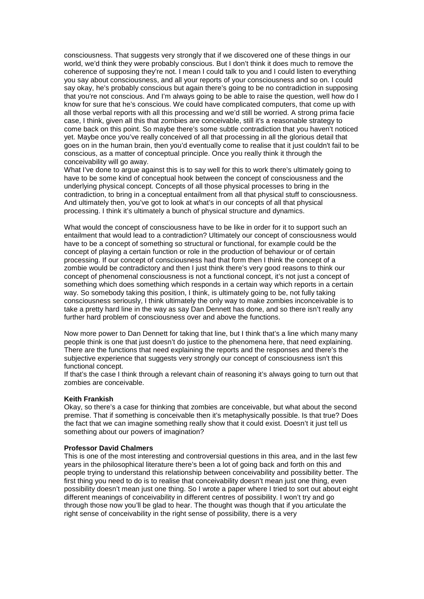consciousness. That suggests very strongly that if we discovered one of these things in our world, we'd think they were probably conscious. But I don't think it does much to remove the coherence of supposing they're not. I mean I could talk to you and I could listen to everything you say about consciousness, and all your reports of your consciousness and so on. I could say okay, he's probably conscious but again there's going to be no contradiction in supposing that you're not conscious. And I'm always going to be able to raise the question, well how do I know for sure that he's conscious. We could have complicated computers, that come up with all those verbal reports with all this processing and we'd still be worried. A strong prima facie case, I think, given all this that zombies are conceivable, still it's a reasonable strategy to come back on this point. So maybe there's some subtle contradiction that you haven't noticed yet. Maybe once you've really conceived of all that processing in all the glorious detail that goes on in the human brain, then you'd eventually come to realise that it just couldn't fail to be conscious, as a matter of conceptual principle. Once you really think it through the conceivability will go away.

What I've done to argue against this is to say well for this to work there's ultimately going to have to be some kind of conceptual hook between the concept of consciousness and the underlying physical concept. Concepts of all those physical processes to bring in the contradiction, to bring in a conceptual entailment from all that physical stuff to consciousness. And ultimately then, you've got to look at what's in our concepts of all that physical processing. I think it's ultimately a bunch of physical structure and dynamics.

What would the concept of consciousness have to be like in order for it to support such an entailment that would lead to a contradiction? Ultimately our concept of consciousness would have to be a concept of something so structural or functional, for example could be the concept of playing a certain function or role in the production of behaviour or of certain processing. If our concept of consciousness had that form then I think the concept of a zombie would be contradictory and then I just think there's very good reasons to think our concept of phenomenal consciousness is not a functional concept, it's not just a concept of something which does something which responds in a certain way which reports in a certain way. So somebody taking this position, I think, is ultimately going to be, not fully taking consciousness seriously, I think ultimately the only way to make zombies inconceivable is to take a pretty hard line in the way as say Dan Dennett has done, and so there isn't really any further hard problem of consciousness over and above the functions.

Now more power to Dan Dennett for taking that line, but I think that's a line which many many people think is one that just doesn't do justice to the phenomena here, that need explaining. There are the functions that need explaining the reports and the responses and there's the subjective experience that suggests very strongly our concept of consciousness isn't this functional concept.

If that's the case I think through a relevant chain of reasoning it's always going to turn out that zombies are conceivable.

#### **Keith Frankish**

Okay, so there's a case for thinking that zombies are conceivable, but what about the second premise. That if something is conceivable then it's metaphysically possible. Is that true? Does the fact that we can imagine something really show that it could exist. Doesn't it just tell us something about our powers of imagination?

## **Professor David Chalmers**

This is one of the most interesting and controversial questions in this area, and in the last few years in the philosophical literature there's been a lot of going back and forth on this and people trying to understand this relationship between conceivability and possibility better. The first thing you need to do is to realise that conceivability doesn't mean just one thing, even possibility doesn't mean just one thing. So I wrote a paper where I tried to sort out about eight different meanings of conceivability in different centres of possibility. I won't try and go through those now you'll be glad to hear. The thought was though that if you articulate the right sense of conceivability in the right sense of possibility, there is a very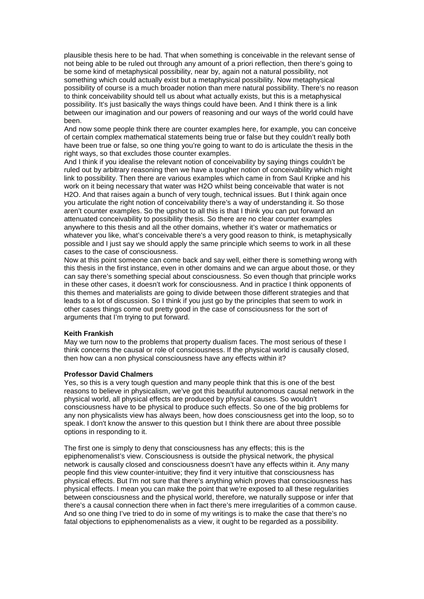plausible thesis here to be had. That when something is conceivable in the relevant sense of not being able to be ruled out through any amount of a priori reflection, then there's going to be some kind of metaphysical possibility, near by, again not a natural possibility, not something which could actually exist but a metaphysical possibility. Now metaphysical possibility of course is a much broader notion than mere natural possibility. There's no reason to think conceivability should tell us about what actually exists, but this is a metaphysical possibility. It's just basically the ways things could have been. And I think there is a link between our imagination and our powers of reasoning and our ways of the world could have been.

And now some people think there are counter examples here, for example, you can conceive of certain complex mathematical statements being true or false but they couldn't really both have been true or false, so one thing you're going to want to do is articulate the thesis in the right ways, so that excludes those counter examples.

And I think if you idealise the relevant notion of conceivability by saying things couldn't be ruled out by arbitrary reasoning then we have a tougher notion of conceivability which might link to possibility. Then there are various examples which came in from Saul Kripke and his work on it being necessary that water was H2O whilst being conceivable that water is not H2O. And that raises again a bunch of very tough, technical issues. But I think again once you articulate the right notion of conceivability there's a way of understanding it. So those aren't counter examples. So the upshot to all this is that I think you can put forward an attenuated conceivability to possibility thesis. So there are no clear counter examples anywhere to this thesis and all the other domains, whether it's water or mathematics or whatever you like, what's conceivable there's a very good reason to think, is metaphysically possible and I just say we should apply the same principle which seems to work in all these cases to the case of consciousness.

Now at this point someone can come back and say well, either there is something wrong with this thesis in the first instance, even in other domains and we can argue about those, or they can say there's something special about consciousness. So even though that principle works in these other cases, it doesn't work for consciousness. And in practice I think opponents of this themes and materialists are going to divide between those different strategies and that leads to a lot of discussion. So I think if you just go by the principles that seem to work in other cases things come out pretty good in the case of consciousness for the sort of arguments that I'm trying to put forward.

#### **Keith Frankish**

May we turn now to the problems that property dualism faces. The most serious of these I think concerns the causal or role of consciousness. If the physical world is causally closed, then how can a non physical consciousness have any effects within it?

#### **Professor David Chalmers**

Yes, so this is a very tough question and many people think that this is one of the best reasons to believe in physicalism, we've got this beautiful autonomous causal network in the physical world, all physical effects are produced by physical causes. So wouldn't consciousness have to be physical to produce such effects. So one of the big problems for any non physicalists view has always been, how does consciousness get into the loop, so to speak. I don't know the answer to this question but I think there are about three possible options in responding to it.

The first one is simply to deny that consciousness has any effects; this is the epiphenomenalist's view. Consciousness is outside the physical network, the physical network is causally closed and consciousness doesn't have any effects within it. Any many people find this view counter-intuitive; they find it very intuitive that consciousness has physical effects. But I'm not sure that there's anything which proves that consciousness has physical effects. I mean you can make the point that we're exposed to all these regularities between consciousness and the physical world, therefore, we naturally suppose or infer that there's a causal connection there when in fact there's mere irregularities of a common cause. And so one thing I've tried to do in some of my writings is to make the case that there's no fatal objections to epiphenomenalists as a view, it ought to be regarded as a possibility.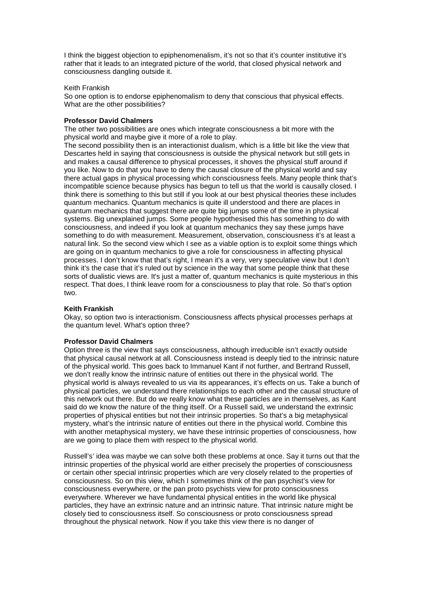I think the biggest objection to epiphenomenalism, it's not so that it's counter institutive it's rather that it leads to an integrated picture of the world, that closed physical network and consciousness dangling outside it.

### Keith Frankish

So one option is to endorse epiphenomalism to deny that conscious that physical effects. What are the other possibilities?

## **Professor David Chalmers**

The other two possibilities are ones which integrate consciousness a bit more with the physical world and maybe give it more of a role to play.

The second possibility then is an interactionist dualism, which is a little bit like the view that Descartes held in saying that consciousness is outside the physical network but still gets in and makes a causal difference to physical processes, it shoves the physical stuff around if you like. Now to do that you have to deny the causal closure of the physical world and say there actual gaps in physical processing which consciousness feels. Many people think that's incompatible science because physics has begun to tell us that the world is causally closed. I think there is something to this but still if you look at our best physical theories these includes quantum mechanics. Quantum mechanics is quite ill understood and there are places in quantum mechanics that suggest there are quite big jumps some of the time in physical systems. Big unexplained jumps. Some people hypothesised this has something to do with consciousness, and indeed if you look at quantum mechanics they say these jumps have something to do with measurement. Measurement, observation, consciousness it's at least a natural link. So the second view which I see as a viable option is to exploit some things which are going on in quantum mechanics to give a role for consciousness in affecting physical processes. I don't know that that's right, I mean it's a very, very speculative view but I don't think it's the case that it's ruled out by science in the way that some people think that these sorts of dualistic views are. It's just a matter of, quantum mechanics is quite mysterious in this respect. That does, I think leave room for a consciousness to play that role. So that's option two.

## **Keith Frankish**

Okay, so option two is interactionism. Consciousness affects physical processes perhaps at the quantum level. What's option three?

#### **Professor David Chalmers**

Option three is the view that says consciousness, although irreducible isn't exactly outside that physical causal network at all. Consciousness instead is deeply tied to the intrinsic nature of the physical world. This goes back to Immanuel Kant if not further, and Bertrand Russell, we don't really know the intrinsic nature of entities out there in the physical world. The physical world is always revealed to us via its appearances, it's effects on us. Take a bunch of physical particles, we understand there relationships to each other and the causal structure of this network out there. But do we really know what these particles are in themselves, as Kant said do we know the nature of the thing itself. Or a Russell said, we understand the extrinsic properties of physical entities but not their intrinsic properties. So that's a big metaphysical mystery, what's the intrinsic nature of entities out there in the physical world. Combine this with another metaphysical mystery, we have these intrinsic properties of consciousness, how are we going to place them with respect to the physical world.

Russell's' idea was maybe we can solve both these problems at once. Say it turns out that the intrinsic properties of the physical world are either precisely the properties of consciousness or certain other special intrinsic properties which are very closely related to the properties of consciousness. So on this view, which I sometimes think of the pan psychist's view for consciousness everywhere, or the pan proto psychists view for proto consciousness everywhere. Wherever we have fundamental physical entities in the world like physical particles, they have an extrinsic nature and an intrinsic nature. That intrinsic nature might be closely tied to consciousness itself. So consciousness or proto consciousness spread throughout the physical network. Now if you take this view there is no danger of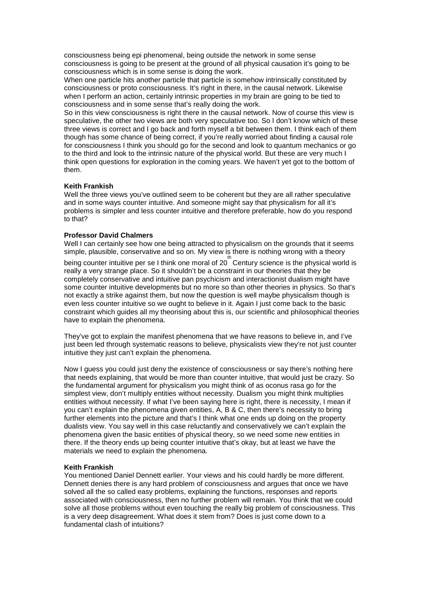consciousness being epi phenomenal, being outside the network in some sense consciousness is going to be present at the ground of all physical causation it's going to be consciousness which is in some sense is doing the work.

When one particle hits another particle that particle is somehow intrinsically constituted by consciousness or proto consciousness. It's right in there, in the causal network. Likewise when I perform an action, certainly intrinsic properties in my brain are going to be tied to consciousness and in some sense that's really doing the work.

So in this view consciousness is right there in the causal network. Now of course this view is speculative, the other two views are both very speculative too. So I don't know which of these three views is correct and I go back and forth myself a bit between them. I think each of them though has some chance of being correct, if you're really worried about finding a causal role for consciousness I think you should go for the second and look to quantum mechanics or go to the third and look to the intrinsic nature of the physical world. But these are very much I think open questions for exploration in the coming years. We haven't yet got to the bottom of them.

## **Keith Frankish**

Well the three views you've outlined seem to be coherent but they are all rather speculative and in some ways counter intuitive. And someone might say that physicalism for all it's problems is simpler and less counter intuitive and therefore preferable, how do you respond to that?

### **Professor David Chalmers**

Well I can certainly see how one being attracted to physicalism on the grounds that it seems simple, plausible, conservative and so on. My view is there is nothing wrong with a theory

being counter intuitive per se I think one moral of 20 Century science is the physical world is really a very strange place. So it shouldn't be a constraint in our theories that they be completely conservative and intuitive pan psychicism and interactionist dualism might have some counter intuitive developments but no more so than other theories in physics. So that's not exactly a strike against them, but now the question is well maybe physicalism though is even less counter intuitive so we ought to believe in it. Again I just come back to the basic constraint which guides all my theorising about this is, our scientific and philosophical theories have to explain the phenomena.

They've got to explain the manifest phenomena that we have reasons to believe in, and I've just been led through systematic reasons to believe, physicalists view they're not just counter intuitive they just can't explain the phenomena.

Now I guess you could just deny the existence of consciousness or say there's nothing here that needs explaining, that would be more than counter intuitive, that would just be crazy. So the fundamental argument for physicalism you might think of as oconus rasa go for the simplest view, don't multiply entities without necessity. Dualism you might think multiplies entities without necessity. If what I've been saying here is right, there is necessity, I mean if you can't explain the phenomena given entities, A, B & C, then there's necessity to bring further elements into the picture and that's I think what one ends up doing on the property dualists view. You say well in this case reluctantly and conservatively we can't explain the phenomena given the basic entities of physical theory, so we need some new entities in there. If the theory ends up being counter intuitive that's okay, but at least we have the materials we need to explain the phenomena.

### **Keith Frankish**

You mentioned Daniel Dennett earlier. Your views and his could hardly be more different. Dennett denies there is any hard problem of consciousness and argues that once we have solved all the so called easy problems, explaining the functions, responses and reports associated with consciousness, then no further problem will remain. You think that we could solve all those problems without even touching the really big problem of consciousness. This is a very deep disagreement. What does it stem from? Does is just come down to a fundamental clash of intuitions?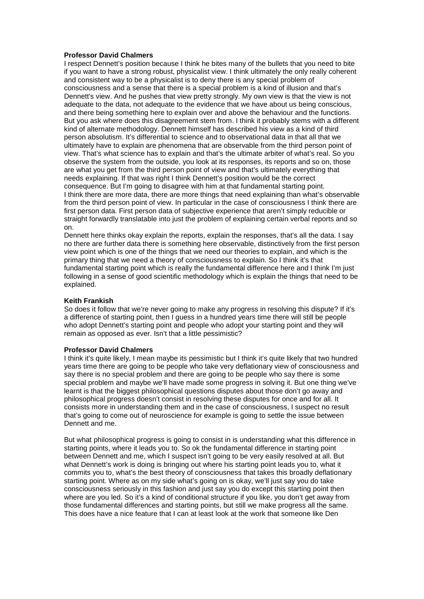## **Professor David Chalmers**

I respect Dennett's position because I think he bites many of the bullets that you need to bite if you want to have a strong robust, physicalist view. I think ultimately the only really coherent and consistent way to be a physicalist is to deny there is any special problem of consciousness and a sense that there is a special problem is a kind of illusion and that's Dennett's view. And he pushes that view pretty strongly. My own view is that the view is not adequate to the data, not adequate to the evidence that we have about us being conscious, and there being something here to explain over and above the behaviour and the functions. But you ask where does this disagreement stem from. I think it probably stems with a different kind of alternate methodology. Dennett himself has described his view as a kind of third person absolutism. It's differential to science and to observational data in that all that we ultimately have to explain are phenomena that are observable from the third person point of view. That's what science has to explain and that's the ultimate arbiter of what's real. So you observe the system from the outside, you look at its responses, its reports and so on, those are what you get from the third person point of view and that's ultimately everything that needs explaining. If that was right I think Dennett's position would be the correct consequence. But I'm going to disagree with him at that fundamental starting point. I think there are more data, there are more things that need explaining than what's observable from the third person point of view. In particular in the case of consciousness I think there are first person data. First person data of subjective experience that aren't simply reducible or straight forwardly translatable into just the problem of explaining certain verbal reports and so on.

Dennett here thinks okay explain the reports, explain the responses, that's all the data. I say no there are further data there is something here observable, distinctively from the first person view point which is one of the things that we need our theories to explain, and which is the primary thing that we need a theory of consciousness to explain. So I think it's that fundamental starting point which is really the fundamental difference here and I think I'm just following in a sense of good scientific methodology which is explain the things that need to be explained.

## **Keith Frankish**

So does it follow that we're never going to make any progress in resolving this dispute? If it's a difference of starting point, then I guess in a hundred years time there will still be people who adopt Dennett's starting point and people who adopt your starting point and they will remain as opposed as ever. Isn't that a little pessimistic?

## **Professor David Chalmers**

I think it's quite likely, I mean maybe its pessimistic but I think it's quite likely that two hundred years time there are going to be people who take very deflationary view of consciousness and say there is no special problem and there are going to be people who say there is some special problem and maybe we'll have made some progress in solving it. But one thing we've learnt is that the biggest philosophical questions disputes about those don't go away and philosophical progress doesn't consist in resolving these disputes for once and for all. It consists more in understanding them and in the case of consciousness, I suspect no result that's going to come out of neuroscience for example is going to settle the issue between Dennett and me.

But what philosophical progress is going to consist in is understanding what this difference in starting points, where it leads you to. So ok the fundamental difference in starting point between Dennett and me, which I suspect isn't going to be very easily resolved at all. But what Dennett's work is doing is bringing out where his starting point leads you to, what it commits you to, what's the best theory of consciousness that takes this broadly deflationary starting point. Where as on my side what's going on is okay, we'll just say you do take consciousness seriously in this fashion and just say you do except this starting point then where are you led. So it's a kind of conditional structure if you like, you don't get away from those fundamental differences and starting points, but still we make progress all the same. This does have a nice feature that I can at least look at the work that someone like Den